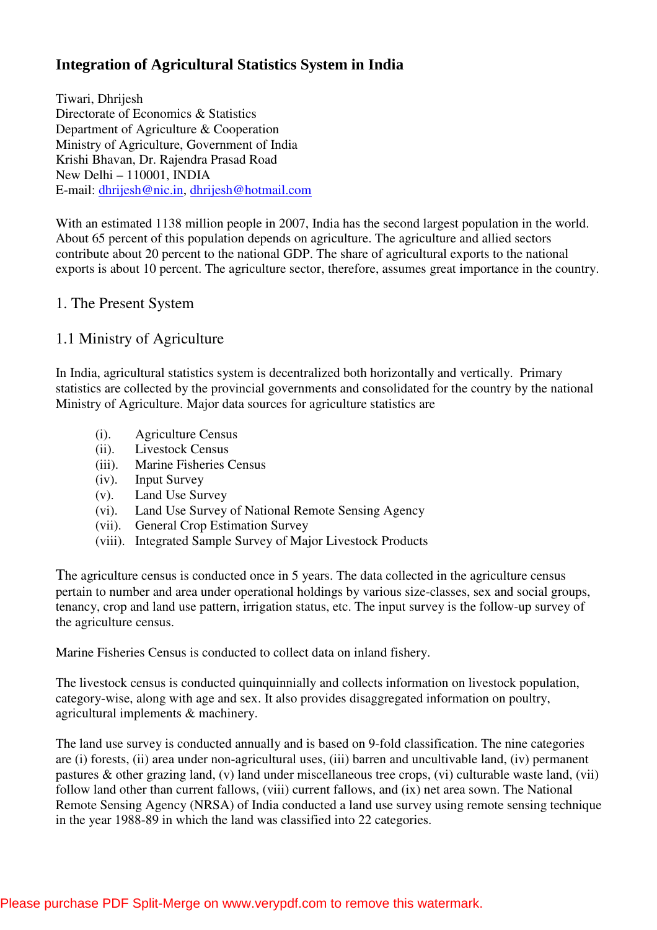# **Integration of Agricultural Statistics System in India**

Tiwari, Dhrijesh Directorate of Economics & Statistics Department of Agriculture & Cooperation Ministry of Agriculture, Government of India Krishi Bhavan, Dr. Rajendra Prasad Road New Delhi – 110001, INDIA E-mail: dhrijesh@nic.in, dhrijesh@hotmail.com

With an estimated 1138 million people in 2007, India has the second largest population in the world. About 65 percent of this population depends on agriculture. The agriculture and allied sectors contribute about 20 percent to the national GDP. The share of agricultural exports to the national exports is about 10 percent. The agriculture sector, therefore, assumes great importance in the country.

## 1. The Present System

# 1.1 Ministry of Agriculture

In India, agricultural statistics system is decentralized both horizontally and vertically. Primary statistics are collected by the provincial governments and consolidated for the country by the national Ministry of Agriculture. Major data sources for agriculture statistics are

- (i). Agriculture Census
- (ii). Livestock Census
- (iii). Marine Fisheries Census
- (iv). Input Survey
- (v). Land Use Survey
- (vi). Land Use Survey of National Remote Sensing Agency
- (vii). General Crop Estimation Survey
- (viii). Integrated Sample Survey of Major Livestock Products

The agriculture census is conducted once in 5 years. The data collected in the agriculture census pertain to number and area under operational holdings by various size-classes, sex and social groups, tenancy, crop and land use pattern, irrigation status, etc. The input survey is the follow-up survey of the agriculture census.

Marine Fisheries Census is conducted to collect data on inland fishery.

The livestock census is conducted quinquinnially and collects information on livestock population, category-wise, along with age and sex. It also provides disaggregated information on poultry, agricultural implements & machinery.

The land use survey is conducted annually and is based on 9-fold classification. The nine categories are (i) forests, (ii) area under non-agricultural uses, (iii) barren and uncultivable land, (iv) permanent pastures & other grazing land, (v) land under miscellaneous tree crops, (vi) culturable waste land, (vii) follow land other than current fallows, (viii) current fallows, and (ix) net area sown. The National Remote Sensing Agency (NRSA) of India conducted a land use survey using remote sensing technique in the year 1988-89 in which the land was classified into 22 categories.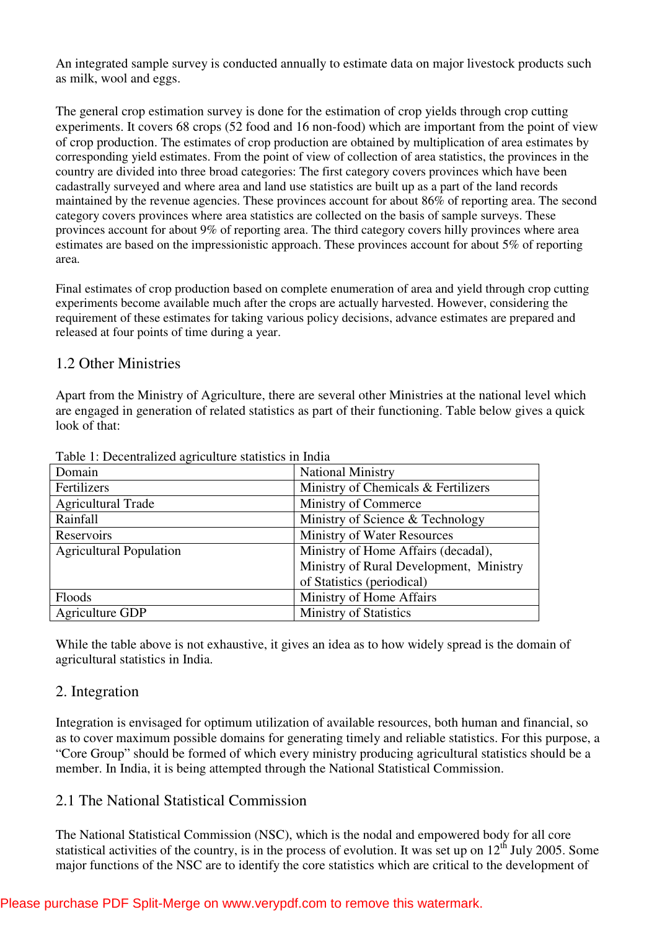An integrated sample survey is conducted annually to estimate data on major livestock products such as milk, wool and eggs.

The general crop estimation survey is done for the estimation of crop yields through crop cutting experiments. It covers 68 crops (52 food and 16 non-food) which are important from the point of view of crop production. The estimates of crop production are obtained by multiplication of area estimates by corresponding yield estimates. From the point of view of collection of area statistics, the provinces in the country are divided into three broad categories: The first category covers provinces which have been cadastrally surveyed and where area and land use statistics are built up as a part of the land records maintained by the revenue agencies. These provinces account for about 86% of reporting area. The second category covers provinces where area statistics are collected on the basis of sample surveys. These provinces account for about 9% of reporting area. The third category covers hilly provinces where area estimates are based on the impressionistic approach. These provinces account for about 5% of reporting area.

Final estimates of crop production based on complete enumeration of area and yield through crop cutting experiments become available much after the crops are actually harvested. However, considering the requirement of these estimates for taking various policy decisions, advance estimates are prepared and released at four points of time during a year.

## 1.2 Other Ministries

Apart from the Ministry of Agriculture, there are several other Ministries at the national level which are engaged in generation of related statistics as part of their functioning. Table below gives a quick look of that:

| Domain                         | <b>National Ministry</b>                |
|--------------------------------|-----------------------------------------|
| Fertilizers                    | Ministry of Chemicals & Fertilizers     |
| <b>Agricultural Trade</b>      | Ministry of Commerce                    |
| Rainfall                       | Ministry of Science & Technology        |
| Reservoirs                     | <b>Ministry of Water Resources</b>      |
| <b>Agricultural Population</b> | Ministry of Home Affairs (decadal),     |
|                                | Ministry of Rural Development, Ministry |
|                                | of Statistics (periodical)              |
| Floods                         | Ministry of Home Affairs                |
| Agriculture GDP                | <b>Ministry of Statistics</b>           |

Table 1: Decentralized agriculture statistics in India

While the table above is not exhaustive, it gives an idea as to how widely spread is the domain of agricultural statistics in India.

#### 2. Integration

Integration is envisaged for optimum utilization of available resources, both human and financial, so as to cover maximum possible domains for generating timely and reliable statistics. For this purpose, a "Core Group" should be formed of which every ministry producing agricultural statistics should be a member. In India, it is being attempted through the National Statistical Commission.

# 2.1 The National Statistical Commission

The National Statistical Commission (NSC), which is the nodal and empowered body for all core statistical activities of the country, is in the process of evolution. It was set up on 12<sup>th</sup> July 2005. Some major functions of the NSC are to identify the core statistics which are critical to the development of

#### Please purchase PDF Split-Merge on www.verypdf.com to remove this watermark.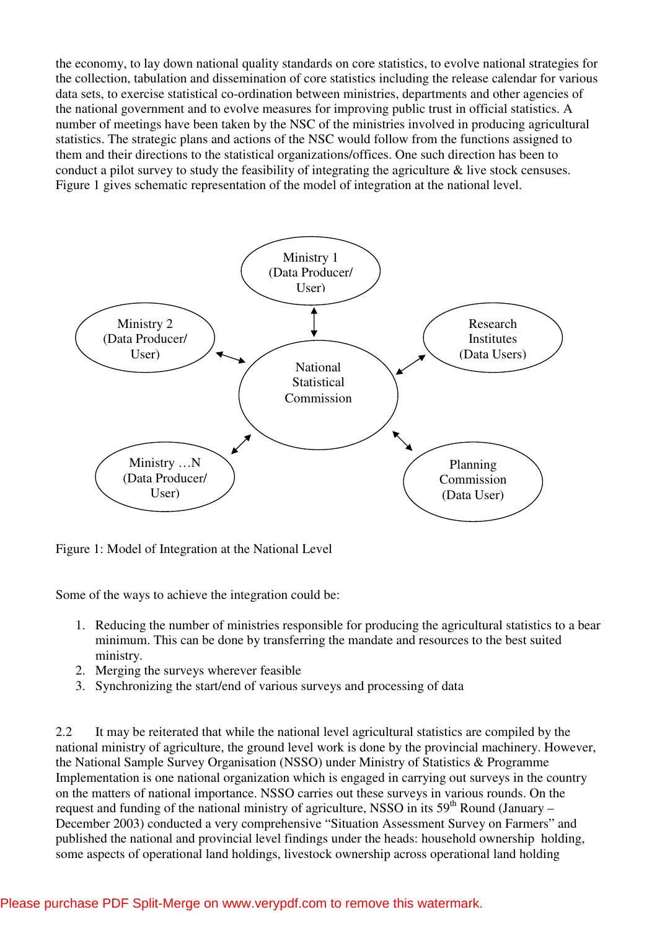the economy, to lay down national quality standards on core statistics, to evolve national strategies for the collection, tabulation and dissemination of core statistics including the release calendar for various data sets, to exercise statistical co-ordination between ministries, departments and other agencies of the national government and to evolve measures for improving public trust in official statistics. A number of meetings have been taken by the NSC of the ministries involved in producing agricultural statistics. The strategic plans and actions of the NSC would follow from the functions assigned to them and their directions to the statistical organizations/offices. One such direction has been to conduct a pilot survey to study the feasibility of integrating the agriculture & live stock censuses. Figure 1 gives schematic representation of the model of integration at the national level.



Figure 1: Model of Integration at the National Level

Some of the ways to achieve the integration could be:

- 1. Reducing the number of ministries responsible for producing the agricultural statistics to a bear minimum. This can be done by transferring the mandate and resources to the best suited ministry.
- 2. Merging the surveys wherever feasible
- 3. Synchronizing the start/end of various surveys and processing of data

2.2 It may be reiterated that while the national level agricultural statistics are compiled by the national ministry of agriculture, the ground level work is done by the provincial machinery. However, the National Sample Survey Organisation (NSSO) under Ministry of Statistics & Programme Implementation is one national organization which is engaged in carrying out surveys in the country on the matters of national importance. NSSO carries out these surveys in various rounds. On the request and funding of the national ministry of agriculture, NSSO in its  $59<sup>th</sup>$  Round (January – December 2003) conducted a very comprehensive "Situation Assessment Survey on Farmers" and published the national and provincial level findings under the heads: household ownership holding, some aspects of operational land holdings, livestock ownership across operational land holding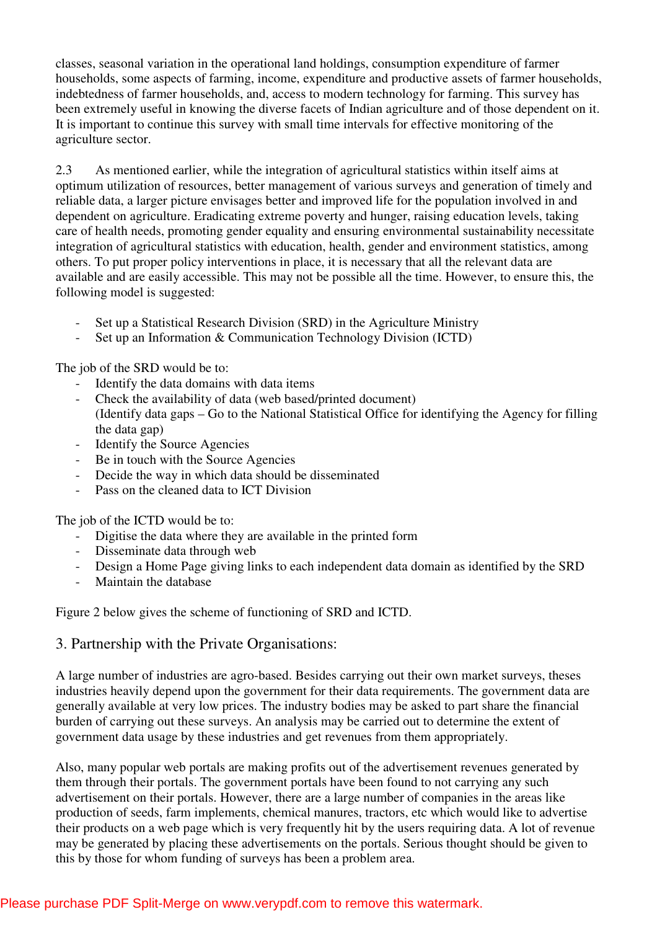classes, seasonal variation in the operational land holdings, consumption expenditure of farmer households, some aspects of farming, income, expenditure and productive assets of farmer households, indebtedness of farmer households, and, access to modern technology for farming. This survey has been extremely useful in knowing the diverse facets of Indian agriculture and of those dependent on it. It is important to continue this survey with small time intervals for effective monitoring of the agriculture sector.

2.3 As mentioned earlier, while the integration of agricultural statistics within itself aims at optimum utilization of resources, better management of various surveys and generation of timely and reliable data, a larger picture envisages better and improved life for the population involved in and dependent on agriculture. Eradicating extreme poverty and hunger, raising education levels, taking care of health needs, promoting gender equality and ensuring environmental sustainability necessitate integration of agricultural statistics with education, health, gender and environment statistics, among others. To put proper policy interventions in place, it is necessary that all the relevant data are available and are easily accessible. This may not be possible all the time. However, to ensure this, the following model is suggested:

- Set up a Statistical Research Division (SRD) in the Agriculture Ministry
- Set up an Information & Communication Technology Division (ICTD)

The job of the SRD would be to:

- Identify the data domains with data items
- Check the availability of data (web based/printed document) (Identify data gaps – Go to the National Statistical Office for identifying the Agency for filling the data gap)
- Identify the Source Agencies
- Be in touch with the Source Agencies
- Decide the way in which data should be disseminated
- Pass on the cleaned data to ICT Division

The job of the ICTD would be to:

- Digitise the data where they are available in the printed form
- Disseminate data through web
- Design a Home Page giving links to each independent data domain as identified by the SRD
- Maintain the database

Figure 2 below gives the scheme of functioning of SRD and ICTD.

#### 3. Partnership with the Private Organisations:

A large number of industries are agro-based. Besides carrying out their own market surveys, theses industries heavily depend upon the government for their data requirements. The government data are generally available at very low prices. The industry bodies may be asked to part share the financial burden of carrying out these surveys. An analysis may be carried out to determine the extent of government data usage by these industries and get revenues from them appropriately.

Also, many popular web portals are making profits out of the advertisement revenues generated by them through their portals. The government portals have been found to not carrying any such advertisement on their portals. However, there are a large number of companies in the areas like production of seeds, farm implements, chemical manures, tractors, etc which would like to advertise their products on a web page which is very frequently hit by the users requiring data. A lot of revenue may be generated by placing these advertisements on the portals. Serious thought should be given to this by those for whom funding of surveys has been a problem area.